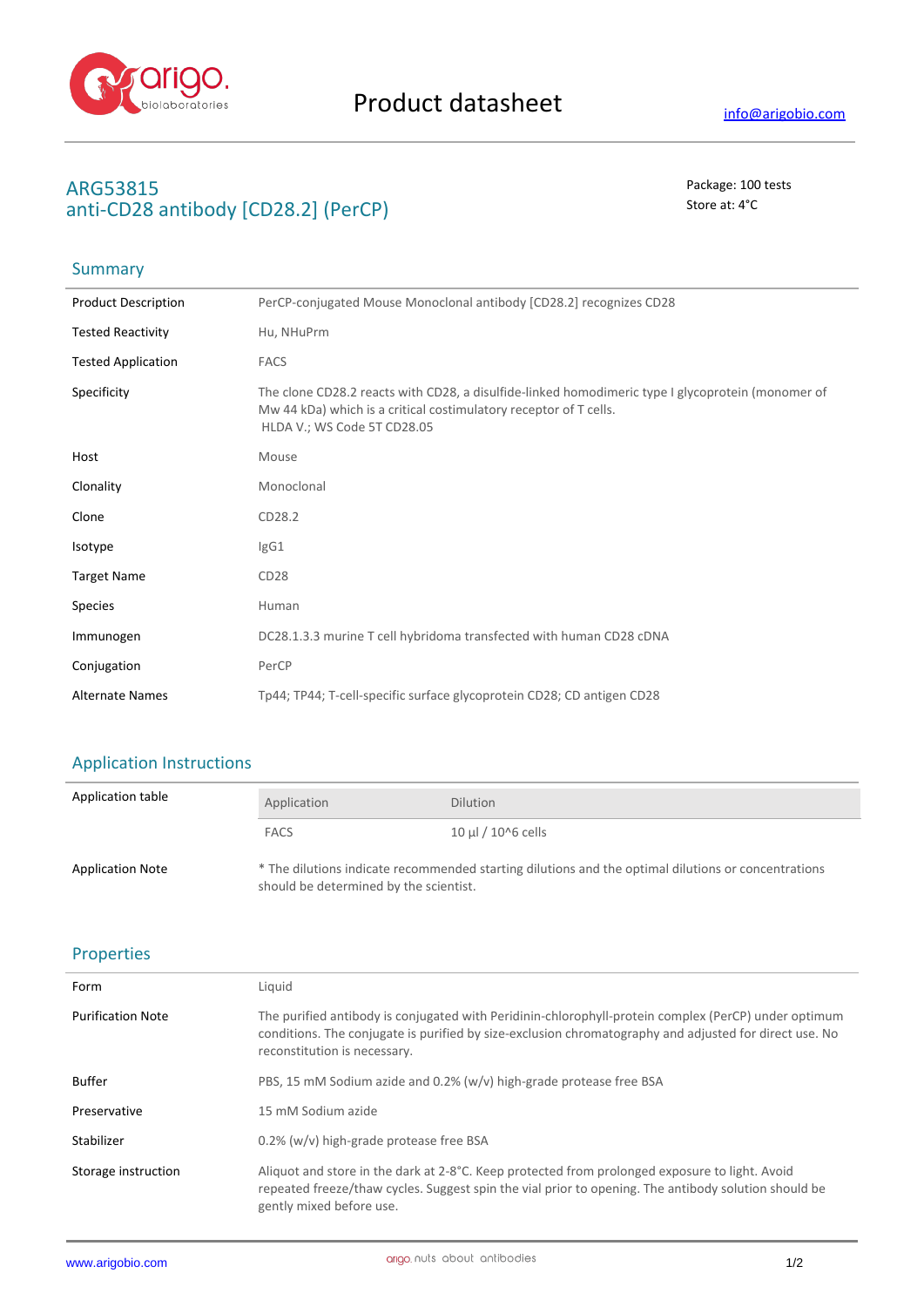

Summary

# **ARG53815** Package: 100 tests anti-CD28 antibody [CD28.2] (PerCP) Store at: 4<sup>°</sup>C

| <b>Product Description</b> | PerCP-conjugated Mouse Monoclonal antibody [CD28.2] recognizes CD28                                                                                                                                   |
|----------------------------|-------------------------------------------------------------------------------------------------------------------------------------------------------------------------------------------------------|
| <b>Tested Reactivity</b>   | Hu, NHuPrm                                                                                                                                                                                            |
| <b>Tested Application</b>  | <b>FACS</b>                                                                                                                                                                                           |
| Specificity                | The clone CD28.2 reacts with CD28, a disulfide-linked homodimeric type I glycoprotein (monomer of<br>Mw 44 kDa) which is a critical costimulatory receptor of T cells.<br>HLDA V.; WS Code 5T CD28.05 |
| Host                       | Mouse                                                                                                                                                                                                 |
| Clonality                  | Monoclonal                                                                                                                                                                                            |
| Clone                      | CD28.2                                                                                                                                                                                                |
| Isotype                    | IgG1                                                                                                                                                                                                  |
| <b>Target Name</b>         | CD <sub>28</sub>                                                                                                                                                                                      |
| <b>Species</b>             | Human                                                                                                                                                                                                 |
| Immunogen                  | DC28.1.3.3 murine T cell hybridoma transfected with human CD28 cDNA                                                                                                                                   |
| Conjugation                | PerCP                                                                                                                                                                                                 |
| <b>Alternate Names</b>     | Tp44; TP44; T-cell-specific surface glycoprotein CD28; CD antigen CD28                                                                                                                                |

### Application Instructions

| Application table       | Application                            | <b>Dilution</b>                                                                                     |
|-------------------------|----------------------------------------|-----------------------------------------------------------------------------------------------------|
|                         | <b>FACS</b>                            | $10 \mu$ I / $10^{6}$ cells                                                                         |
| <b>Application Note</b> | should be determined by the scientist. | * The dilutions indicate recommended starting dilutions and the optimal dilutions or concentrations |

#### Properties

| Form                     | Liquid                                                                                                                                                                                                                                         |
|--------------------------|------------------------------------------------------------------------------------------------------------------------------------------------------------------------------------------------------------------------------------------------|
| <b>Purification Note</b> | The purified antibody is conjugated with Peridinin-chlorophyll-protein complex (PerCP) under optimum<br>conditions. The conjugate is purified by size-exclusion chromatography and adjusted for direct use. No<br>reconstitution is necessary. |
| <b>Buffer</b>            | PBS, 15 mM Sodium azide and 0.2% (w/v) high-grade protease free BSA                                                                                                                                                                            |
| Preservative             | 15 mM Sodium azide                                                                                                                                                                                                                             |
| Stabilizer               | 0.2% (w/v) high-grade protease free BSA                                                                                                                                                                                                        |
| Storage instruction      | Aliquot and store in the dark at 2-8°C. Keep protected from prolonged exposure to light. Avoid<br>repeated freeze/thaw cycles. Suggest spin the vial prior to opening. The antibody solution should be<br>gently mixed before use.             |